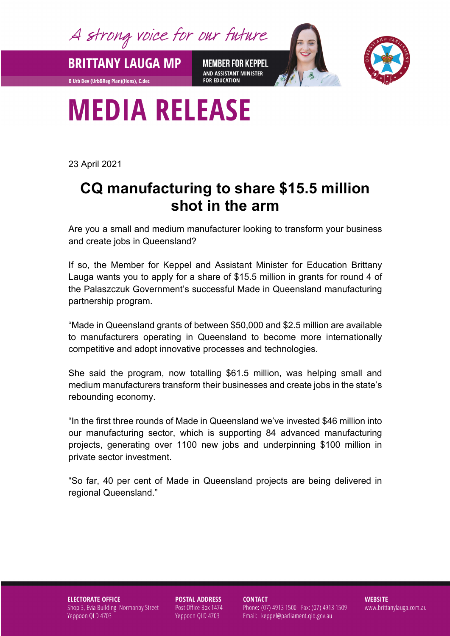A strong voice for our future

**BRITTANY LAUGA MP** 

**B Urb Dev (Urb&Reg Plan)(Hons), C.dec** 

**MEMBER FOR KEPPEL** AND ASSISTANT MINISTER **FOR EDUCATION** 



## **MEDIA RELEASE**

23 April 2021

## **CQ manufacturing to share \$15.5 million shot in the arm**

Are you a small and medium manufacturer looking to transform your business and create jobs in Queensland?

If so, the Member for Keppel and Assistant Minister for Education Brittany Lauga wants you to apply for a share of \$15.5 million in grants for round 4 of the Palaszczuk Government's successful Made in Queensland manufacturing partnership program.

"Made in Queensland grants of between \$50,000 and \$2.5 million are available to manufacturers operating in Queensland to become more internationally competitive and adopt innovative processes and technologies.

She said the program, now totalling \$61.5 million, was helping small and medium manufacturers transform their businesses and create jobs in the state's rebounding economy.

"In the first three rounds of Made in Queensland we've invested \$46 million into our manufacturing sector, which is supporting 84 advanced manufacturing projects, generating over 1100 new jobs and underpinning \$100 million in private sector investment.

"So far, 40 per cent of Made in Queensland projects are being delivered in regional Queensland."

**ELECTORATE OFFICE** Shop 3, Evia Building Normanby Street Yeppoon QLD 4703

**POSTAL ADDRESS** Post Office Box 1474 Yeppoon QLD 4703

**CONTACT** 

Phone: (07) 4913 1500 Fax: (07) 4913 1509 Email: keppel@parliament.qld.gov.au

**WEBSITE** www.brittanylauga.com.au